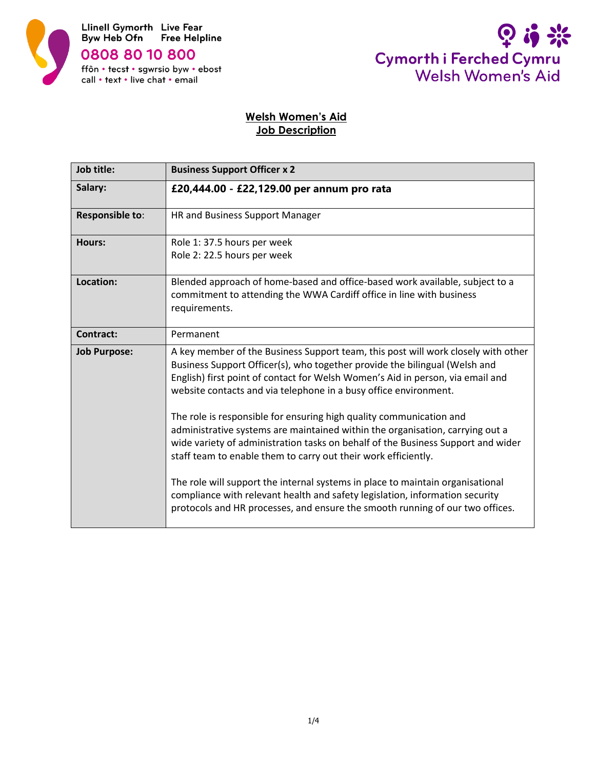



# **Welsh Women's Aid Job Description**

| Job title:          | <b>Business Support Officer x 2</b>                                                                                                                                                                                                                                                                                                                                                                                                                                                                                                                                                                                                                                                                                                                                                                                                                                                    |  |
|---------------------|----------------------------------------------------------------------------------------------------------------------------------------------------------------------------------------------------------------------------------------------------------------------------------------------------------------------------------------------------------------------------------------------------------------------------------------------------------------------------------------------------------------------------------------------------------------------------------------------------------------------------------------------------------------------------------------------------------------------------------------------------------------------------------------------------------------------------------------------------------------------------------------|--|
| Salary:             | £20,444.00 - £22,129.00 per annum pro rata                                                                                                                                                                                                                                                                                                                                                                                                                                                                                                                                                                                                                                                                                                                                                                                                                                             |  |
| Responsible to:     | HR and Business Support Manager                                                                                                                                                                                                                                                                                                                                                                                                                                                                                                                                                                                                                                                                                                                                                                                                                                                        |  |
| Hours:              | Role 1: 37.5 hours per week<br>Role 2: 22.5 hours per week                                                                                                                                                                                                                                                                                                                                                                                                                                                                                                                                                                                                                                                                                                                                                                                                                             |  |
| Location:           | Blended approach of home-based and office-based work available, subject to a<br>commitment to attending the WWA Cardiff office in line with business<br>requirements.                                                                                                                                                                                                                                                                                                                                                                                                                                                                                                                                                                                                                                                                                                                  |  |
| <b>Contract:</b>    | Permanent                                                                                                                                                                                                                                                                                                                                                                                                                                                                                                                                                                                                                                                                                                                                                                                                                                                                              |  |
| <b>Job Purpose:</b> | A key member of the Business Support team, this post will work closely with other<br>Business Support Officer(s), who together provide the bilingual (Welsh and<br>English) first point of contact for Welsh Women's Aid in person, via email and<br>website contacts and via telephone in a busy office environment.<br>The role is responsible for ensuring high quality communication and<br>administrative systems are maintained within the organisation, carrying out a<br>wide variety of administration tasks on behalf of the Business Support and wider<br>staff team to enable them to carry out their work efficiently.<br>The role will support the internal systems in place to maintain organisational<br>compliance with relevant health and safety legislation, information security<br>protocols and HR processes, and ensure the smooth running of our two offices. |  |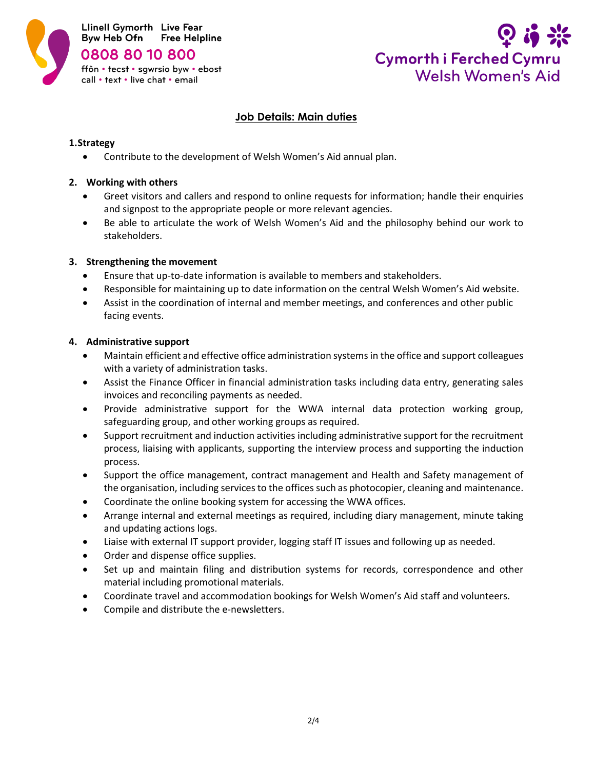



### **Job Details: Main duties**

#### **1.Strategy**

• Contribute to the development of Welsh Women's Aid annual plan.

### **2. Working with others**

- Greet visitors and callers and respond to online requests for information; handle their enquiries and signpost to the appropriate people or more relevant agencies.
- Be able to articulate the work of Welsh Women's Aid and the philosophy behind our work to stakeholders.

### **3. Strengthening the movement**

- Ensure that up-to-date information is available to members and stakeholders.
- Responsible for maintaining up to date information on the central Welsh Women's Aid website.
- Assist in the coordination of internal and member meetings, and conferences and other public facing events.

#### **4. Administrative support**

- Maintain efficient and effective office administration systems in the office and support colleagues with a variety of administration tasks.
- Assist the Finance Officer in financial administration tasks including data entry, generating sales invoices and reconciling payments as needed.
- Provide administrative support for the WWA internal data protection working group, safeguarding group, and other working groups as required.
- Support recruitment and induction activities including administrative support for the recruitment process, liaising with applicants, supporting the interview process and supporting the induction process.
- Support the office management, contract management and Health and Safety management of the organisation, including services to the offices such as photocopier, cleaning and maintenance.
- Coordinate the online booking system for accessing the WWA offices.
- Arrange internal and external meetings as required, including diary management, minute taking and updating actions logs.
- Liaise with external IT support provider, logging staff IT issues and following up as needed.
- Order and dispense office supplies.
- Set up and maintain filing and distribution systems for records, correspondence and other material including promotional materials.
- Coordinate travel and accommodation bookings for Welsh Women's Aid staff and volunteers.
- Compile and distribute the e-newsletters.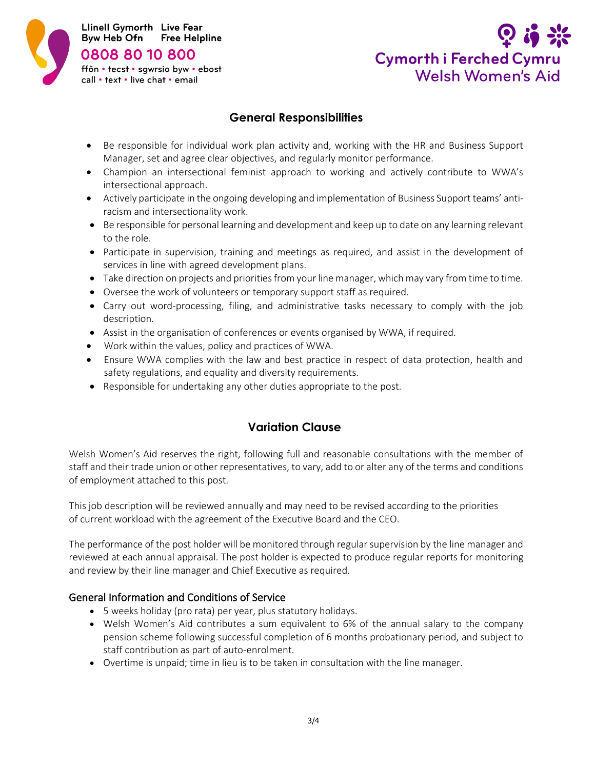



# **General Responsibilities**

- Be responsible for individual work plan activity and, working with the HR and Business Support Manager, set and agree clear objectives, and regularly monitor performance.
- Champion an intersectional feminist approach to working and actively contribute to WWA's intersectional approach.
- Actively participate in the ongoing developing and implementation of Business Support teams' antiracism and intersectionality work.
- Be responsible for personal learning and development and keep up to date on any learning relevant to the role.
- Participate in supervision, training and meetings as required, and assist in the development of services in line with agreed development plans.
- Take direction on projects and priorities from your line manager, which may vary from time to time.
- Oversee the work of volunteers or temporary support staff as required.
- Carry out word-processing, filing, and administrative tasks necessary to comply with the job description.
- Assist in the organisation of conferences or events organised by WWA, if required.
- Work within the values, policy and practices of WWA.
- Ensure WWA complies with the law and best practice in respect of data protection, health and safety regulations, and equality and diversity requirements.
- Responsible for undertaking any other duties appropriate to the post.

## **Variation Clause**

Welsh Women's Aid reserves the right, following full and reasonable consultations with the member of staff and their trade union or other representatives, to vary, add to or alter any of the terms and conditions of employment attached to this post.

This job description will be reviewed annually and may need to be revised according to the priorities of current workload with the agreement of the Executive Board and the CEO.

The performance of the post holder will be monitored through regular supervision by the line manager and reviewed at each annual appraisal. The post holder is expected to produce regular reports for monitoring and review by their line manager and Chief Executive as required.

### General Information and Conditions of Service

- 5 weeks holiday (pro rata) per year, plus statutory holidays.
- Welsh Women's Aid contributes a sum equivalent to 6% of the annual salary to the company pension scheme following successful completion of 6 months probationary period, and subject to staff contribution as part of auto-enrolment.
- Overtime is unpaid; time in lieu is to be taken in consultation with the line manager.